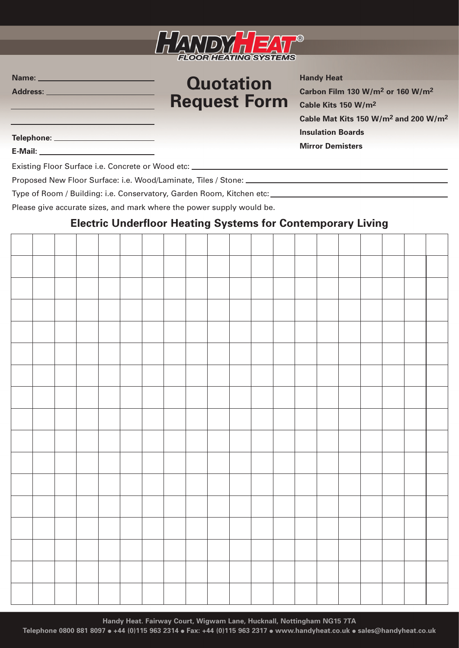

## **Quotation Request Form**

**Handy Heat Carbon Film 130 W/m2 or 160 W/m2 Cable Kits 150 W/m2 Cable Mat Kits 150 W/m2 and 200 W/m2 Insulation Boards Mirror Demisters**

**Telephone:**

**E-Mail:**

**Name: Address:**

Existing Floor Surface i.e. Concrete or Wood etc:

Proposed New Floor Surface: i.e. Wood/Laminate, Tiles / Stone:

Type of Room / Building: i.e. Conservatory, Garden Room, Kitchen etc:

Please give accurate sizes, and mark where the power supply would be.

#### **Electric Underfloor Heating Systems for Contemporary Living**

**Handy Heat. Fairway Court, Wigwam Lane, Hucknall, Nottingham NG15 7TA**

**Telephone 0800 881 8097** ● **+44 (0)115 963 2314** ● **Fax: +44 (0)115 963 2317** ● **www.handyheat.co.uk** ● **sales@handyheat.co.uk**